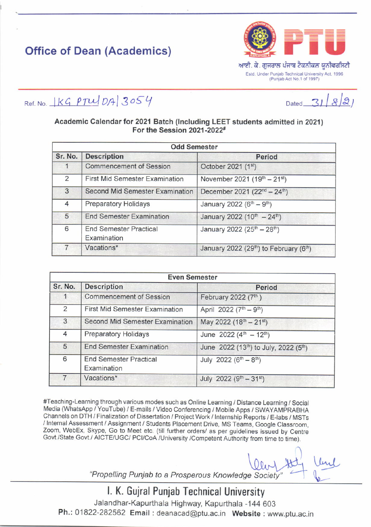## **Office of Dean (Academics)**



ਆਈ. ਕੇ. ਗਜਰਾਲ ਪੰਜਾਬ ਟੈਕਨੀਕਲ ਯੂਨੀਵਰਸਿਟੀ Estd. Under Punjab Technical University Act, 1996 (Punjab Act No.1 of 1997)

Ref. No.  $|KGPTUDB|3054$ 

 $\overline{a}$ Dated

## Academic Calendar for 2021 Batch (Including LEET students admitted in 2021) For the Session 2021-2022#

|                | <b>Odd Semester</b>                          |                                                                 |  |
|----------------|----------------------------------------------|-----------------------------------------------------------------|--|
| Sr. No.        | <b>Description</b>                           | Period                                                          |  |
|                | <b>Commencement of Session</b>               | October 2021 (1st)                                              |  |
| $\overline{2}$ | <b>First Mid Semester Examination</b>        | November 2021 $(19^{th} – 21^{st})$                             |  |
| $\overline{3}$ | <b>Second Mid Semester Examination</b>       | December 2021 (22 <sup>nd</sup> - 24 <sup>th</sup> )            |  |
| 4              | <b>Preparatory Holidays</b>                  | January 2022 (6 <sup>th</sup> - 9 <sup>th</sup> )               |  |
| 5              | <b>End Semester Examination</b>              | January 2022 (10 <sup>th</sup> - 24 <sup>th</sup> )             |  |
| 6              | <b>End Semester Practical</b><br>Examination | January 2022 (25 <sup>th</sup> - 28 <sup>th</sup> )             |  |
|                | Vacations*                                   | January 2022 (29 <sup>th</sup> ) to February (6 <sup>th</sup> ) |  |

| <b>Even Semester</b> |                                              |                                                                |  |
|----------------------|----------------------------------------------|----------------------------------------------------------------|--|
| Sr. No.              | <b>Description</b>                           | <b>Period</b>                                                  |  |
|                      | <b>Commencement of Session</b>               | February 2022 (7th)                                            |  |
| $\overline{2}$       | First Mid Semester Examination               | April 2022 (7 <sup>th</sup> - 9 <sup>th</sup> )                |  |
| 3                    | Second Mid Semester Examination              | May 2022 (18 <sup>th</sup> - 21 <sup>st</sup> )                |  |
| $\overline{4}$       | <b>Preparatory Holidays</b>                  | June 2022 ( $4^{\text{th}} - 12^{\text{th}}$ )                 |  |
| $5\overline{)}$      | <b>End Semester Examination</b>              | June 2022 (13 <sup>th</sup> ) to July, 2022 (5 <sup>th</sup> ) |  |
| 6                    | <b>End Semester Practical</b><br>Examination | July 2022 ( $6^{th} - 8^{th}$ )                                |  |
|                      | Vacations*                                   | July 2022 ( $9^{th} - 31^{st}$ )                               |  |

#Teaching-Learning through various modes such as Online Learning / Distance Learning / Social Media (WhatsApp / YouTube) / E-mails / Video Conferencing / Mobile Apps / SWAYAMPRABHA Channels on DTH / Finalization of Dissertation / Project Work / Internship Reports / E-labs / MSTs / Internal Assessment / Assignment / Students Placement Drive, MS Teams, Google Classroom, Zoom, WebEx, Skype, Go to Meet etc. (till further orders/ as per guidelines issued by Centre Govt./State Govt./ AICTE/UGC/ PCI/CoA /University /Competent Authority from time to time).

"Propelling Punjab to a Prosperous Knowledge Society"

I. K. Gujral Punjab Technical University Jalandhar-Kapurthala Highway, Kapurthala -144 603 Ph.: 01822-282562 Email: deanacad@ptu.ac.in Website: www.ptu.ac.in